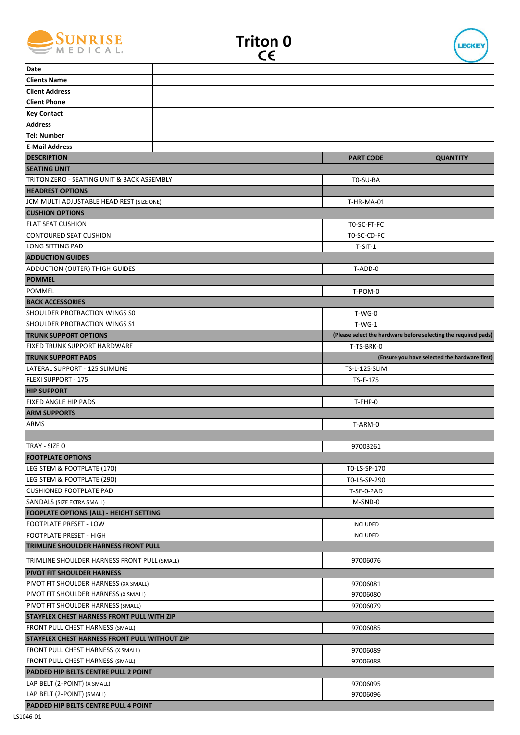





| Date                                                 |  |                      |                                                                 |
|------------------------------------------------------|--|----------------------|-----------------------------------------------------------------|
| <b>Clients Name</b>                                  |  |                      |                                                                 |
| <b>Client Address</b>                                |  |                      |                                                                 |
| <b>Client Phone</b>                                  |  |                      |                                                                 |
| <b>Key Contact</b>                                   |  |                      |                                                                 |
| <b>Address</b>                                       |  |                      |                                                                 |
| <b>Tel: Number</b>                                   |  |                      |                                                                 |
| <b>E-Mail Address</b>                                |  |                      |                                                                 |
| <b>DESCRIPTION</b>                                   |  | <b>PART CODE</b>     | <b>QUANTITY</b>                                                 |
| <b>SEATING UNIT</b>                                  |  |                      |                                                                 |
| TRITON ZERO - SEATING UNIT & BACK ASSEMBLY           |  | T0-SU-BA             |                                                                 |
| <b>HEADREST OPTIONS</b>                              |  |                      |                                                                 |
| JCM MULTI ADJUSTABLE HEAD REST (SIZE ONE)            |  | T-HR-MA-01           |                                                                 |
| <b>CUSHION OPTIONS</b>                               |  |                      |                                                                 |
| <b>FLAT SEAT CUSHION</b>                             |  | TO-SC-FT-FC          |                                                                 |
| <b>CONTOURED SEAT CUSHION</b>                        |  | T0-SC-CD-FC          |                                                                 |
| LONG SITTING PAD                                     |  |                      |                                                                 |
|                                                      |  | $T-SIT-1$            |                                                                 |
| <b>ADDUCTION GUIDES</b>                              |  |                      |                                                                 |
| <b>ADDUCTION (OUTER) THIGH GUIDES</b>                |  | T-ADD-0              |                                                                 |
| <b>POMMEL</b>                                        |  |                      |                                                                 |
| <b>POMMEL</b>                                        |  | T-POM-0              |                                                                 |
| <b>BACK ACCESSORIES</b>                              |  |                      |                                                                 |
| <b>SHOULDER PROTRACTION WINGS SO</b>                 |  | $T-WG-0$             |                                                                 |
| SHOULDER PROTRACTION WINGS S1                        |  | $T-WG-1$             |                                                                 |
| <b>TRUNK SUPPORT OPTIONS</b>                         |  |                      | (Please select the hardware before selecting the required pads) |
| <b>FIXED TRUNK SUPPORT HARDWARE</b>                  |  | T-TS-BRK-0           |                                                                 |
| <b>TRUNK SUPPORT PADS</b>                            |  |                      | (Ensure you have selected the hardware first)                   |
| LATERAL SUPPORT - 125 SLIMLINE                       |  | TS-L-125-SLIM        |                                                                 |
| FLEXI SUPPORT - 175                                  |  | TS-F-175             |                                                                 |
| <b>HIP SUPPORT</b>                                   |  |                      |                                                                 |
| <b>FIXED ANGLE HIP PADS</b>                          |  | T-FHP-0              |                                                                 |
| <b>ARM SUPPORTS</b>                                  |  |                      |                                                                 |
| <b>ARMS</b>                                          |  | T-ARM-0              |                                                                 |
|                                                      |  |                      |                                                                 |
| TRAY - SIZE 0                                        |  | 97003261             |                                                                 |
| <b>FOOTPLATE OPTIONS</b>                             |  |                      |                                                                 |
| LEG STEM & FOOTPLATE (170)                           |  | T0-LS-SP-170         |                                                                 |
| LEG STEM & FOOTPLATE (290)                           |  | T0-LS-SP-290         |                                                                 |
| <b>CUSHIONED FOOTPLATE PAD</b>                       |  | T-SF-0-PAD           |                                                                 |
| SANDALS (SIZE EXTRA SMALL)                           |  | M-SND-0              |                                                                 |
| <b>FOOPLATE OPTIONS (ALL) - HEIGHT SETTING</b>       |  |                      |                                                                 |
| <b>FOOTPLATE PRESET - LOW</b>                        |  | <b>INCLUDED</b>      |                                                                 |
| <b>FOOTPLATE PRESET - HIGH</b>                       |  | INCLUDED             |                                                                 |
| TRIMLINE SHOULDER HARNESS FRONT PULL                 |  |                      |                                                                 |
| TRIMLINE SHOULDER HARNESS FRONT PULL (SMALL)         |  | 97006076             |                                                                 |
| <b>PIVOT FIT SHOULDER HARNESS</b>                    |  |                      |                                                                 |
| PIVOT FIT SHOULDER HARNESS (XX SMALL)                |  | 97006081             |                                                                 |
| PIVOT FIT SHOULDER HARNESS (X SMALL)                 |  | 97006080             |                                                                 |
| PIVOT FIT SHOULDER HARNESS (SMALL)                   |  | 97006079             |                                                                 |
| <b>STAYFLEX CHEST HARNESS FRONT PULL WITH ZIP</b>    |  |                      |                                                                 |
| FRONT PULL CHEST HARNESS (SMALL)                     |  | 97006085             |                                                                 |
| <b>STAYFLEX CHEST HARNESS FRONT PULL WITHOUT ZIP</b> |  |                      |                                                                 |
| FRONT PULL CHEST HARNESS (X SMALL)                   |  | 97006089             |                                                                 |
| FRONT PULL CHEST HARNESS (SMALL)                     |  | 97006088             |                                                                 |
| PADDED HIP BELTS CENTRE PULL 2 POINT                 |  |                      |                                                                 |
| LAP BELT (2-POINT) (X SMALL)                         |  |                      |                                                                 |
|                                                      |  |                      |                                                                 |
| LAP BELT (2-POINT) (SMALL)                           |  | 97006095<br>97006096 |                                                                 |